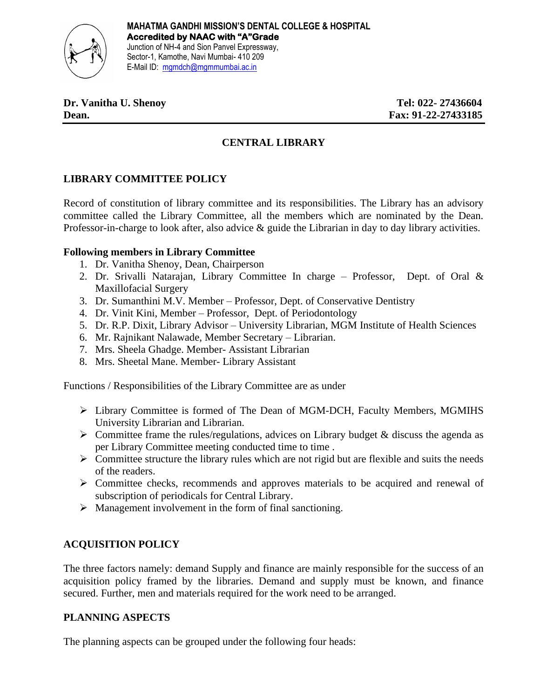

# **CENTRAL LIBRARY**

# **LIBRARY COMMITTEE POLICY**

Record of constitution of library committee and its responsibilities. The Library has an advisory committee called the Library Committee, all the members which are nominated by the Dean. Professor-in-charge to look after, also advice & guide the Librarian in day to day library activities.

### **Following members in Library Committee**

- 1. Dr. Vanitha Shenoy, Dean, Chairperson
- 2. Dr. Srivalli Natarajan, Library Committee In charge Professor, Dept. of Oral & Maxillofacial Surgery
- 3. Dr. Sumanthini M.V. Member Professor, Dept. of Conservative Dentistry
- 4. Dr. Vinit Kini, Member Professor, Dept. of Periodontology
- 5. Dr. R.P. Dixit, Library Advisor University Librarian, MGM Institute of Health Sciences
- 6. Mr. Rajnikant Nalawade, Member Secretary Librarian.
- 7. Mrs. Sheela Ghadge. Member- Assistant Librarian
- 8. Mrs. Sheetal Mane. Member- Library Assistant

Functions / Responsibilities of the Library Committee are as under

- ➢ Library Committee is formed of The Dean of MGM-DCH, Faculty Members, MGMIHS University Librarian and Librarian.
- $\triangleright$  Committee frame the rules/regulations, advices on Library budget & discuss the agenda as per Library Committee meeting conducted time to time .
- $\triangleright$  Committee structure the library rules which are not rigid but are flexible and suits the needs of the readers.
- ➢ Committee checks, recommends and approves materials to be acquired and renewal of subscription of periodicals for Central Library.
- ➢ Management involvement in the form of final sanctioning.

### **ACQUISITION POLICY**

The three factors namely: demand Supply and finance are mainly responsible for the success of an acquisition policy framed by the libraries. Demand and supply must be known, and finance secured. Further, men and materials required for the work need to be arranged.

#### **PLANNING ASPECTS**

The planning aspects can be grouped under the following four heads: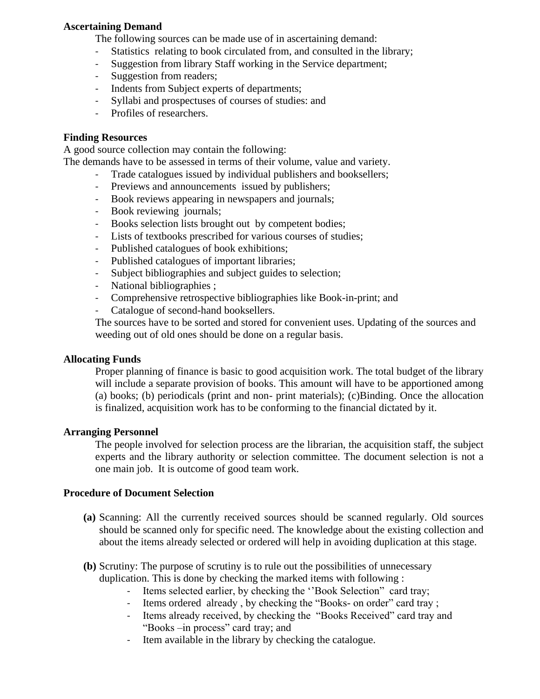### **Ascertaining Demand**

The following sources can be made use of in ascertaining demand:

- Statistics relating to book circulated from, and consulted in the library;
- Suggestion from library Staff working in the Service department;
- Suggestion from readers;
- Indents from Subject experts of departments;
- Syllabi and prospectuses of courses of studies: and
- Profiles of researchers.

### **Finding Resources**

A good source collection may contain the following:

The demands have to be assessed in terms of their volume, value and variety.

- Trade catalogues issued by individual publishers and booksellers;
- Previews and announcements issued by publishers;
- Book reviews appearing in newspapers and journals;
- Book reviewing journals;
- Books selection lists brought out by competent bodies;
- Lists of textbooks prescribed for various courses of studies;
- Published catalogues of book exhibitions;
- Published catalogues of important libraries;
- Subject bibliographies and subject guides to selection;
- National bibliographies ;
- Comprehensive retrospective bibliographies like Book-in-print; and
- Catalogue of second-hand booksellers.

The sources have to be sorted and stored for convenient uses. Updating of the sources and weeding out of old ones should be done on a regular basis.

#### **Allocating Funds**

Proper planning of finance is basic to good acquisition work. The total budget of the library will include a separate provision of books. This amount will have to be apportioned among (a) books; (b) periodicals (print and non- print materials); (c)Binding. Once the allocation is finalized, acquisition work has to be conforming to the financial dictated by it.

### **Arranging Personnel**

The people involved for selection process are the librarian, the acquisition staff, the subject experts and the library authority or selection committee. The document selection is not a one main job. It is outcome of good team work.

#### **Procedure of Document Selection**

- **(a)** Scanning: All the currently received sources should be scanned regularly. Old sources should be scanned only for specific need. The knowledge about the existing collection and about the items already selected or ordered will help in avoiding duplication at this stage.
- **(b)** Scrutiny: The purpose of scrutiny is to rule out the possibilities of unnecessary duplication. This is done by checking the marked items with following :
	- Items selected earlier, by checking the "Book Selection" card tray;
	- Items ordered already, by checking the "Books- on order" card tray;
	- Items already received, by checking the "Books Received" card tray and "Books –in process" card tray; and
	- Item available in the library by checking the catalogue.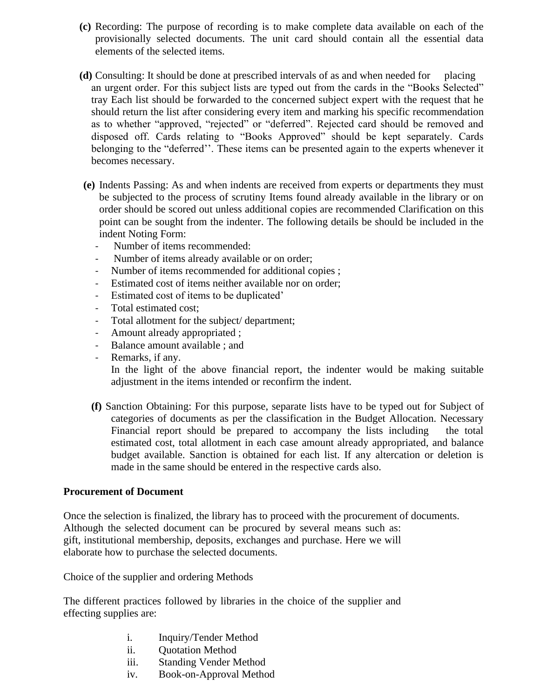- **(c)** Recording: The purpose of recording is to make complete data available on each of the provisionally selected documents. The unit card should contain all the essential data elements of the selected items.
- **(d)** Consulting: It should be done at prescribed intervals of as and when needed for placing an urgent order. For this subject lists are typed out from the cards in the "Books Selected" tray Each list should be forwarded to the concerned subject expert with the request that he should return the list after considering every item and marking his specific recommendation as to whether "approved, "rejected" or "deferred". Rejected card should be removed and disposed off. Cards relating to "Books Approved" should be kept separately. Cards belonging to the "deferred''. These items can be presented again to the experts whenever it becomes necessary.
- **(e)** Indents Passing: As and when indents are received from experts or departments they must be subjected to the process of scrutiny Items found already available in the library or on order should be scored out unless additional copies are recommended Clarification on this point can be sought from the indenter. The following details be should be included in the indent Noting Form:
	- Number of items recommended:
	- Number of items already available or on order;
	- Number of items recommended for additional copies ;
	- Estimated cost of items neither available nor on order;
	- Estimated cost of items to be duplicated'
	- Total estimated cost;
	- Total allotment for the subject/ department;
	- Amount already appropriated ;
	- Balance amount available ; and
	- Remarks, if any.

In the light of the above financial report, the indenter would be making suitable adjustment in the items intended or reconfirm the indent.

**(f)** Sanction Obtaining: For this purpose, separate lists have to be typed out for Subject of categories of documents as per the classification in the Budget Allocation. Necessary Financial report should be prepared to accompany the lists including the total estimated cost, total allotment in each case amount already appropriated, and balance budget available. Sanction is obtained for each list. If any altercation or deletion is made in the same should be entered in the respective cards also.

#### **Procurement of Document**

Once the selection is finalized, the library has to proceed with the procurement of documents. Although the selected document can be procured by several means such as: gift, institutional membership, deposits, exchanges and purchase. Here we will elaborate how to purchase the selected documents.

Choice of the supplier and ordering Methods

The different practices followed by libraries in the choice of the supplier and effecting supplies are:

- i. Inquiry/Tender Method
- ii. Quotation Method
- iii. Standing Vender Method
- iv. Book-on-Approval Method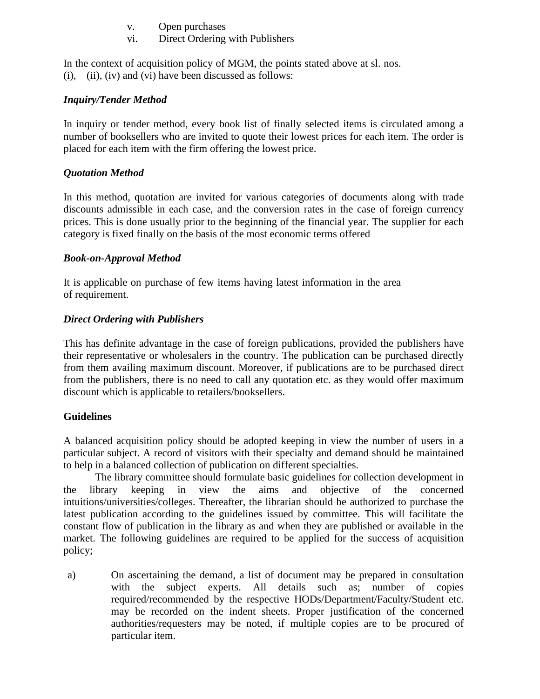- v. Open purchases
- vi. Direct Ordering with Publishers

In the context of acquisition policy of MGM, the points stated above at sl. nos.  $(i)$ ,  $(ii)$ ,  $(iv)$  and  $(vi)$  have been discussed as follows:

### *Inquiry/Tender Method*

In inquiry or tender method, every book list of finally selected items is circulated among a number of booksellers who are invited to quote their lowest prices for each item. The order is placed for each item with the firm offering the lowest price.

# *Quotation Method*

In this method, quotation are invited for various categories of documents along with trade discounts admissible in each case, and the conversion rates in the case of foreign currency prices. This is done usually prior to the beginning of the financial year. The supplier for each category is fixed finally on the basis of the most economic terms offered

### *Book-on-Approval Method*

It is applicable on purchase of few items having latest information in the area of requirement.

### *Direct Ordering with Publishers*

This has definite advantage in the case of foreign publications, provided the publishers have their representative or wholesalers in the country. The publication can be purchased directly from them availing maximum discount. Moreover, if publications are to be purchased direct from the publishers, there is no need to call any quotation etc. as they would offer maximum discount which is applicable to retailers/booksellers.

### **Guidelines**

A balanced acquisition policy should be adopted keeping in view the number of users in a particular subject. A record of visitors with their specialty and demand should be maintained to help in a balanced collection of publication on different specialties.

The library committee should formulate basic guidelines for collection development in the library keeping in view the aims and objective of the concerned intuitions/universities/colleges. Thereafter, the librarian should be authorized to purchase the latest publication according to the guidelines issued by committee. This will facilitate the constant flow of publication in the library as and when they are published or available in the market. The following guidelines are required to be applied for the success of acquisition policy;

a) On ascertaining the demand, a list of document may be prepared in consultation with the subject experts. All details such as; number of copies required/recommended by the respective HODs/Department/Faculty/Student etc. may be recorded on the indent sheets. Proper justification of the concerned authorities/requesters may be noted, if multiple copies are to be procured of particular item.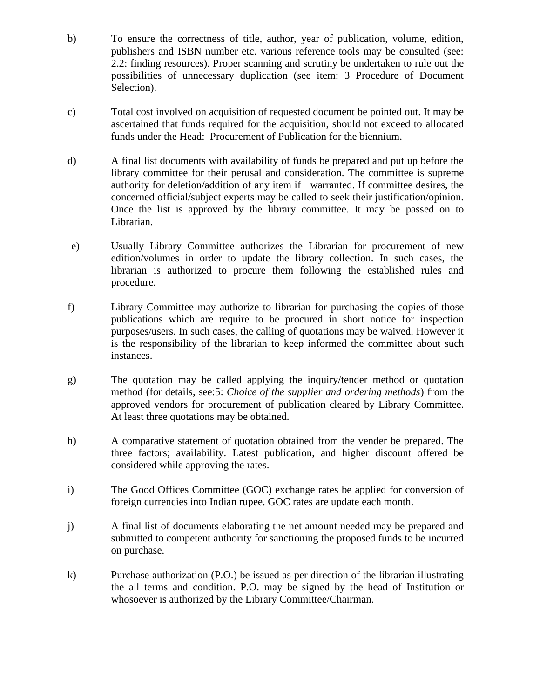- b) To ensure the correctness of title, author, year of publication, volume, edition, publishers and ISBN number etc. various reference tools may be consulted (see: 2.2: finding resources). Proper scanning and scrutiny be undertaken to rule out the possibilities of unnecessary duplication (see item: 3 Procedure of Document Selection).
- c) Total cost involved on acquisition of requested document be pointed out. It may be ascertained that funds required for the acquisition, should not exceed to allocated funds under the Head: Procurement of Publication for the biennium.
- d) A final list documents with availability of funds be prepared and put up before the library committee for their perusal and consideration. The committee is supreme authority for deletion/addition of any item if warranted. If committee desires, the concerned official/subject experts may be called to seek their justification/opinion. Once the list is approved by the library committee. It may be passed on to Librarian.
- e) Usually Library Committee authorizes the Librarian for procurement of new edition/volumes in order to update the library collection. In such cases, the librarian is authorized to procure them following the established rules and procedure.
- f) Library Committee may authorize to librarian for purchasing the copies of those publications which are require to be procured in short notice for inspection purposes/users. In such cases, the calling of quotations may be waived. However it is the responsibility of the librarian to keep informed the committee about such instances.
- g) The quotation may be called applying the inquiry/tender method or quotation method (for details, see:5: *Choice of the supplier and ordering methods*) from the approved vendors for procurement of publication cleared by Library Committee. At least three quotations may be obtained.
- h) A comparative statement of quotation obtained from the vender be prepared. The three factors; availability. Latest publication, and higher discount offered be considered while approving the rates.
- i) The Good Offices Committee (GOC) exchange rates be applied for conversion of foreign currencies into Indian rupee. GOC rates are update each month.
- j) A final list of documents elaborating the net amount needed may be prepared and submitted to competent authority for sanctioning the proposed funds to be incurred on purchase.
- k) Purchase authorization (P.O.) be issued as per direction of the librarian illustrating the all terms and condition. P.O. may be signed by the head of Institution or whosoever is authorized by the Library Committee/Chairman.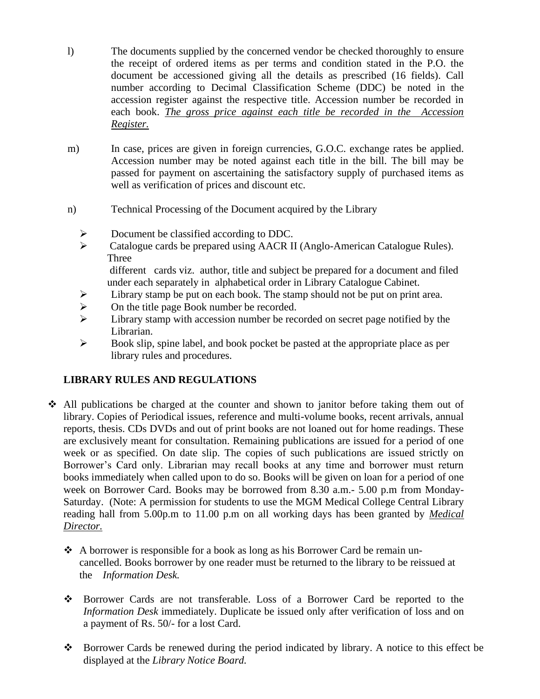- l) The documents supplied by the concerned vendor be checked thoroughly to ensure the receipt of ordered items as per terms and condition stated in the P.O. the document be accessioned giving all the details as prescribed (16 fields). Call number according to Decimal Classification Scheme (DDC) be noted in the accession register against the respective title. Accession number be recorded in each book. *The gross price against each title be recorded in the Accession Register.*
- m) In case, prices are given in foreign currencies, G.O.C. exchange rates be applied. Accession number may be noted against each title in the bill. The bill may be passed for payment on ascertaining the satisfactory supply of purchased items as well as verification of prices and discount etc.
- n) Technical Processing of the Document acquired by the Library
	- ➢ Document be classified according to DDC.
	- ➢ Catalogue cards be prepared using AACR II (Anglo-American Catalogue Rules). Three different cards viz. author, title and subject be prepared for a document and filed
		- under each separately in alphabetical order in Library Catalogue Cabinet.
	- $\geq$  Library stamp be put on each book. The stamp should not be put on print area.<br>  $\geq$  On the title page Book number be recorded.
	- On the title page Book number be recorded.
	- ➢ Library stamp with accession number be recorded on secret page notified by the Librarian.
	- ➢ Book slip, spine label, and book pocket be pasted at the appropriate place as per library rules and procedures.

#### **LIBRARY RULES AND REGULATIONS**

- ❖ All publications be charged at the counter and shown to janitor before taking them out of library. Copies of Periodical issues, reference and multi-volume books, recent arrivals, annual reports, thesis. CDs DVDs and out of print books are not loaned out for home readings. These are exclusively meant for consultation. Remaining publications are issued for a period of one week or as specified. On date slip. The copies of such publications are issued strictly on Borrower's Card only. Librarian may recall books at any time and borrower must return books immediately when called upon to do so. Books will be given on loan for a period of one week on Borrower Card. Books may be borrowed from 8.30 a.m.- 5.00 p.m from Monday-Saturday. (Note: A permission for students to use the MGM Medical College Central Library reading hall from 5.00p.m to 11.00 p.m on all working days has been granted by *Medical Director.*
	- ❖ A borrower is responsible for a book as long as his Borrower Card be remain uncancelled. Books borrower by one reader must be returned to the library to be reissued at the *Information Desk.*
	- ❖ Borrower Cards are not transferable. Loss of a Borrower Card be reported to the *Information Desk* immediately. Duplicate be issued only after verification of loss and on a payment of Rs. 50/- for a lost Card.
	- ❖ Borrower Cards be renewed during the period indicated by library. A notice to this effect be displayed at the *Library Notice Board.*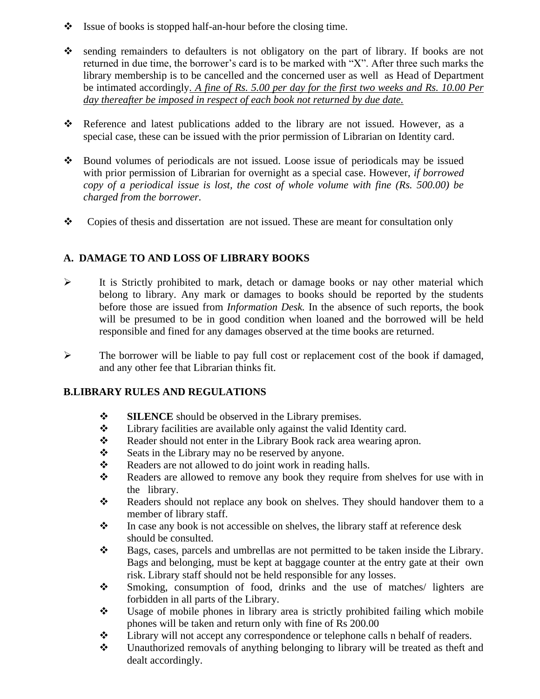- ❖Issue of books is stopped half-an-hour before the closing time.
- ❖ sending remainders to defaulters is not obligatory on the part of library. If books are not returned in due time, the borrower's card is to be marked with "X". After three such marks the library membership is to be cancelled and the concerned user as well as Head of Department be intimated accordingly*. A fine of Rs. 5.00 per day for the first two weeks and Rs. 10.00 Per day thereafter be imposed in respect of each book not returned by due date.*
- ❖ Reference and latest publications added to the library are not issued. However, as a special case, these can be issued with the prior permission of Librarian on Identity card.
- ❖ Bound volumes of periodicals are not issued. Loose issue of periodicals may be issued with prior permission of Librarian for overnight as a special case. However, *if borrowed copy of a periodical issue is lost, the cost of whole volume with fine (Rs. 500.00) be charged from the borrower.*
- ❖ Copies of thesis and dissertation are not issued. These are meant for consultation only

# **A. DAMAGE TO AND LOSS OF LIBRARY BOOKS**

- $\triangleright$  It is Strictly prohibited to mark, detach or damage books or nay other material which belong to library. Any mark or damages to books should be reported by the students before those are issued from *Information Desk.* In the absence of such reports, the book will be presumed to be in good condition when loaned and the borrowed will be held responsible and fined for any damages observed at the time books are returned.
- ➢ The borrower will be liable to pay full cost or replacement cost of the book if damaged, and any other fee that Librarian thinks fit.

# **B.LIBRARY RULES AND REGULATIONS**

- ❖ **SILENCE** should be observed in the Library premises.
- ❖ Library facilities are available only against the valid Identity card.
- ❖ Reader should not enter in the Library Book rack area wearing apron.
- ❖ Seats in the Library may no be reserved by anyone.
- ❖ Readers are not allowed to do joint work in reading halls.
- ❖ Readers are allowed to remove any book they require from shelves for use with in the library.
- ❖ Readers should not replace any book on shelves. They should handover them to a member of library staff.
- ❖ In case any book is not accessible on shelves, the library staff at reference desk should be consulted.
- ❖ Bags, cases, parcels and umbrellas are not permitted to be taken inside the Library. Bags and belonging, must be kept at baggage counter at the entry gate at their own risk. Library staff should not be held responsible for any losses.
- ❖ Smoking, consumption of food, drinks and the use of matches/ lighters are forbidden in all parts of the Library.
- ❖ Usage of mobile phones in library area is strictly prohibited failing which mobile phones will be taken and return only with fine of Rs 200.00
- ❖ Library will not accept any correspondence or telephone calls n behalf of readers.
- ❖ Unauthorized removals of anything belonging to library will be treated as theft and dealt accordingly.